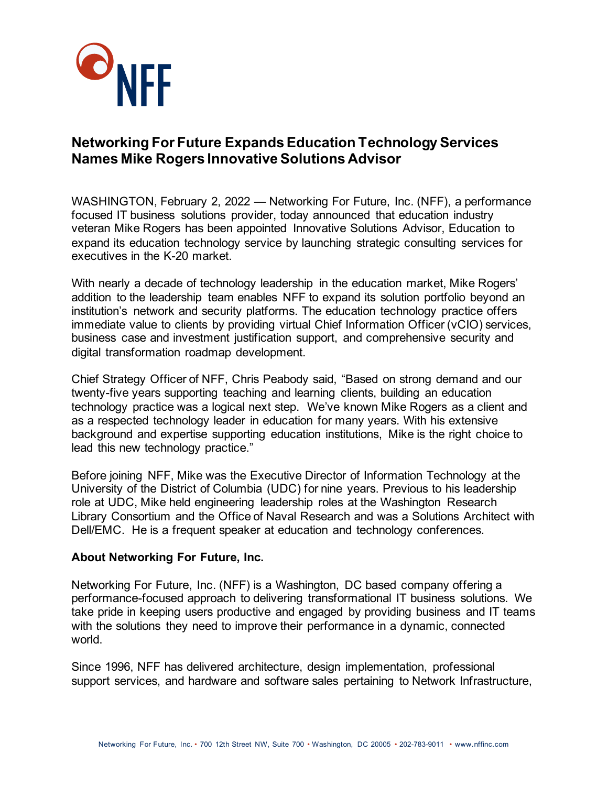

## **Networking For Future ExpandsEducation Technology Services Names Mike Rogers Innovative Solutions Advisor**

WASHINGTON, February 2, 2022 — Networking For Future, Inc. (NFF), a performance focused IT business solutions provider, today announced that education industry veteran Mike Rogers has been appointed Innovative Solutions Advisor, Education to expand its education technology service by launching strategic consulting services for executives in the K-20 market.

With nearly a decade of technology leadership in the education market, Mike Rogers' addition to the leadership team enables NFF to expand its solution portfolio beyond an institution's network and security platforms. The education technology practice offers immediate value to clients by providing virtual Chief Information Officer (vCIO) services, business case and investment justification support, and comprehensive security and digital transformation roadmap development.

Chief Strategy Officer of NFF, Chris Peabody said, "Based on strong demand and our twenty-five years supporting teaching and learning clients, building an education technology practice was a logical next step. We've known Mike Rogers as a client and as a respected technology leader in education for many years. With his extensive background and expertise supporting education institutions, Mike is the right choice to lead this new technology practice."

Before joining NFF, Mike was the Executive Director of Information Technology at the University of the District of Columbia (UDC) for nine years. Previous to his leadership role at UDC, Mike held engineering leadership roles at the Washington Research Library Consortium and the Office of Naval Research and was a Solutions Architect with Dell/EMC. He is a frequent speaker at education and technology conferences.

## **About Networking For Future, Inc.**

Networking For Future, Inc. (NFF) is a Washington, DC based company offering a performance-focused approach to delivering transformational IT business solutions. We take pride in keeping users productive and engaged by providing business and IT teams with the solutions they need to improve their performance in a dynamic, connected world.

Since 1996, NFF has delivered architecture, design implementation, professional support services, and hardware and software sales pertaining to Network Infrastructure,